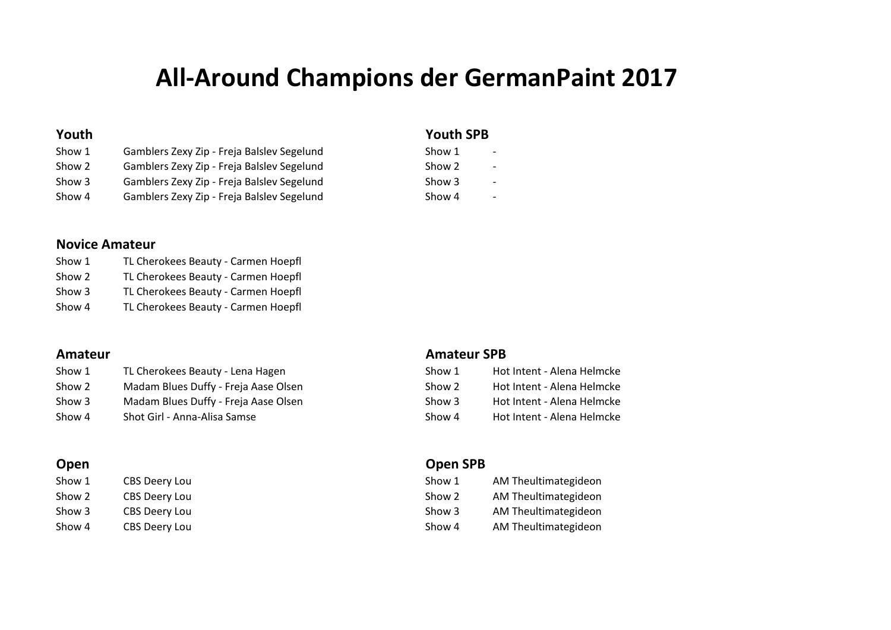# **All‐Around Champions der GermanPaint 2017**

## Show 1 Gamblers Zexy Zip - Freja Balslev Segelund Show 2 **Gamblers Zexy Zip - Freja Balslev Segelund** Show 3 **Gamblers Zexy Zip - Freja Balslev Segelund** Show 4 **Gamblers Zexy Zip - Freja Balslev Segelund**

### **Youth Youth SPB**

| Show 1 |  |
|--------|--|
| Show 2 |  |
| Show 3 |  |
| Show 4 |  |

# **Novice Amateur**

| Show 1 | TL Cherokees Beauty - Carmen Hoepfl |
|--------|-------------------------------------|
| Show 2 | TL Cherokees Beauty - Carmen Hoepfl |
| Show 3 | TL Cherokees Beauty - Carmen Hoepfl |
| Show 4 | TL Cherokees Beauty - Carmen Hoepfl |

| Show 1 | TL Cherokees Beauty - Lena Hagen     | Show 1 | Hot Intent - Alena Helmcke |
|--------|--------------------------------------|--------|----------------------------|
| Show 2 | Madam Blues Duffy - Freja Aase Olsen | Show 2 | Hot Intent - Alena Helmcke |
| Show 3 | Madam Blues Duffy - Freja Aase Olsen | Show 3 | Hot Intent - Alena Helmcke |
| Show 4 | Shot Girl - Anna-Alisa Samse         | Show 4 | Hot Intent - Alena Helmcke |

| Show 1 | <b>CBS Deery Lou</b> |
|--------|----------------------|
| Show 2 | <b>CBS Deery Lou</b> |
| Show 3 | <b>CBS Deery Lou</b> |
| Show 4 | <b>CBS Deery Lou</b> |

## **Amateur Amateur SPB**

| Show 1 | Hot Intent - Alena Helmcke |
|--------|----------------------------|
| Show 2 | Hot Intent - Alena Helmcke |
| Show 3 | Hot Intent - Alena Helmcke |
| Show 4 | Hot Intent - Alena Helmcke |

## **Open Open SPB**

| Show 1 | CBS Deery Lou | Show 1 | AM Theultimategideon |
|--------|---------------|--------|----------------------|
| Show 2 | CBS Deery Lou | Show 2 | AM Theultimategideon |
| Show 3 | CBS Deery Lou | Show 3 | AM Theultimategideon |
| Show 4 | CBS Deery Lou | Show 4 | AM Theultimategideon |